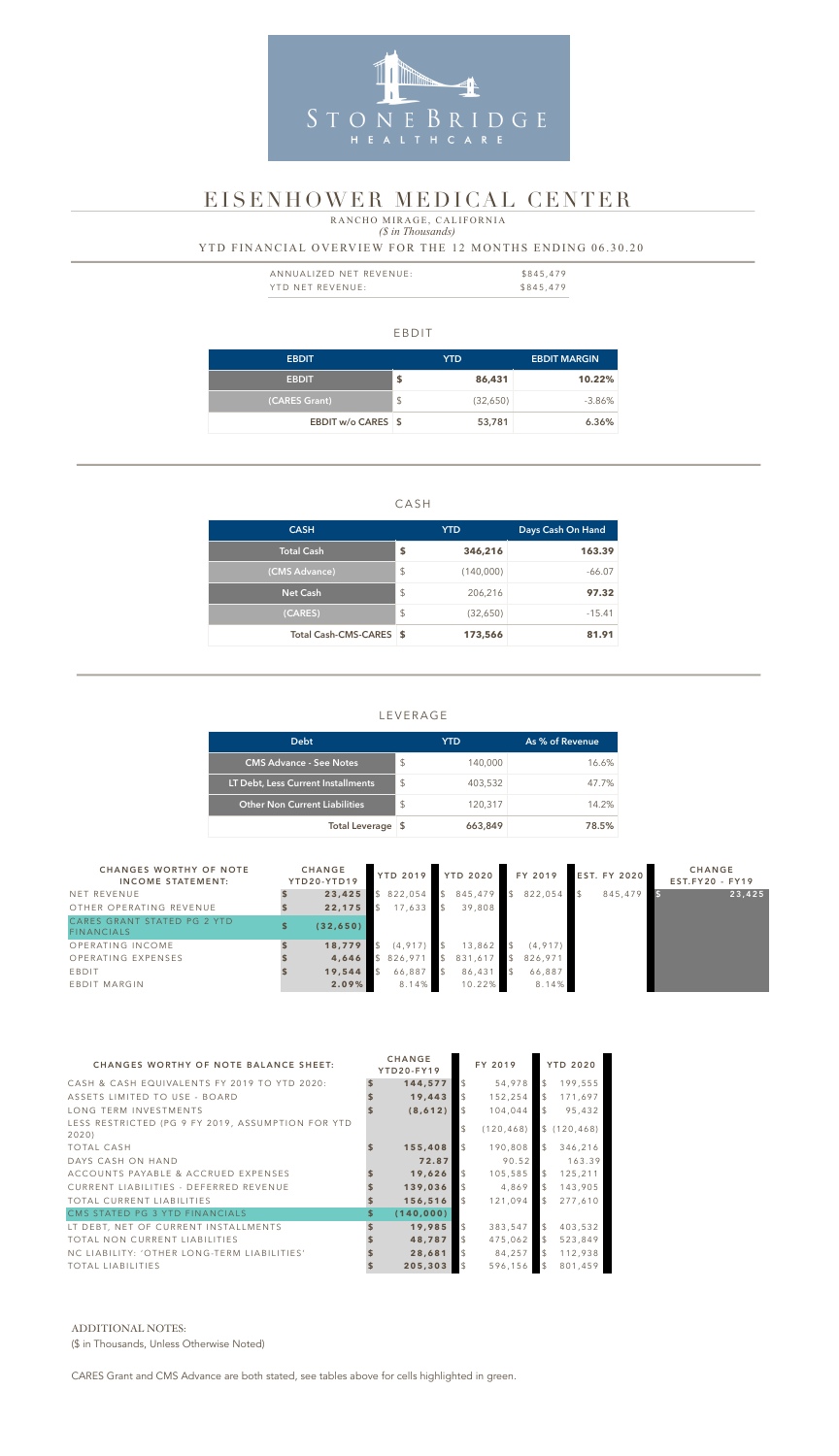#### EBDIT

| <b>EBDIT</b>       |               | <b>YTD</b> | <b>EBDIT MARGIN</b> |
|--------------------|---------------|------------|---------------------|
| <b>EBDIT</b>       | \$            | 86,431     | 10.22%              |
| (CARES Grant)      | $\frac{1}{2}$ | (32,650)   | $-3.86\%$           |
| EBDIT w/o CARES \$ |               | 53,781     | 6.36%               |

### CASH

| <b>CASH</b>             |                         | <b>YTD</b> | Days Cash On Hand |  |  |  |
|-------------------------|-------------------------|------------|-------------------|--|--|--|
| <b>Total Cash</b>       | \$                      | 346,216    | 163.39            |  |  |  |
| (CMS Advance)           | \$                      | (140,000)  | $-66.07$          |  |  |  |
| <b>Net Cash</b>         | $\sqrt[6]{\frac{1}{2}}$ | 206,216    | 97.32             |  |  |  |
| (CARES)                 | $\sqrt[6]{\frac{1}{2}}$ | (32,650)   | $-15.41$          |  |  |  |
| Total Cash-CMS-CARES \$ |                         | 173,566    | 81.91             |  |  |  |

| ANNUALIZED NET REVENUE: | \$845,479 |
|-------------------------|-----------|
| YTD NET REVENUE:        | \$845,479 |

### LEVERAGE

## *(\$ in Thousands)* YTD FINANCIAL OVERVIEW FOR THE 12 MONTHS ENDING 06.30.20 RANCHO MIRAGE, CALIFORNIA

| <b>Debt</b>                          |                         | YTD.    | As % of Revenue |
|--------------------------------------|-------------------------|---------|-----------------|
| <b>CMS Advance - See Notes</b>       | $\mathcal{S}$           | 140,000 | 16.6%           |
| LT Debt, Less Current Installments   | $\mathcal{L}$           | 403,532 | 47.7%           |
| <b>Other Non Current Liabilities</b> | $\sqrt[6]{\frac{1}{2}}$ | 120,317 | 14.2%           |
| Total Leverage \$                    |                         | 663,849 | 78.5%           |



# EISENHOWER MEDICAL CENTER

| <b>CHANGES WORTHY OF NOTE</b><br><b>INCOME STATEMENT:</b> | <b>CHANGE</b><br>YTD20-YTD19 |          |               | YTD 2019 YTD 2020 | FY 2019  | <b>EST. FY 2020</b> | <b>CHANGE</b><br>$EST.FY20 - FY19$ |
|-----------------------------------------------------------|------------------------------|----------|---------------|-------------------|----------|---------------------|------------------------------------|
| NET REVENUE                                               | 23,425                       | 822,054  | $\mathcal{S}$ | 845,479           | 822,054  | 845,479             | 23,425                             |
| OTHER OPERATING REVENUE                                   | 22,175                       | 17,633   |               | 39,808            |          |                     |                                    |
| CARES GRANT STATED PG 2 YTD<br>FINANCIALS                 | (32, 650)                    |          |               |                   |          |                     |                                    |
| OPERATING INCOME                                          | 18,779                       | (4, 917) |               | 13,862            | (4, 917) |                     |                                    |
| OPERATING EXPENSES                                        | 4,646                        | 826,971  |               | 831,617           | 826,971  |                     |                                    |
| EBDIT                                                     | 19,544                       | 66,887   |               | 86,431            | 66,887   |                     |                                    |
| EBDIT MARGIN                                              | 2.09%                        | 8.14%    |               | 10.22%            | 8.14%    |                     |                                    |

| <b>CHANGES WORTHY OF NOTE BALANCE SHEET:</b>              |    | <b>CHANGE</b><br>YTD20-FY19 |                | FY 2019    |                | <b>YTD 2020</b> |
|-----------------------------------------------------------|----|-----------------------------|----------------|------------|----------------|-----------------|
| CASH & CASH EQUIVALENTS FY 2019 TO YTD 2020:              | S  | 144,577                     | $\mathcal{L}$  | 54,978     | $\mathcal{L}$  | 199,555         |
| ASSETS LIMITED TO USE - BOARD                             |    | 19,443                      | $\mathfrak{L}$ | 152,254    | $\mathcal{L}$  | 171,697         |
| LONG TERM INVESTMENTS                                     |    | (8, 612)                    | $\mathfrak{L}$ | 104,044    | $\mathfrak{L}$ | 95,432          |
| LESS RESTRICTED (PG 9 FY 2019, ASSUMPTION FOR YTD<br>2020 |    |                             | \$             | (120, 468) |                | \$(120, 468)    |
| <b>TOTAL CASH</b>                                         |    | 155,408                     | $\mathfrak{L}$ | 190,808    | $\mathcal{L}$  | 346,216         |
| DAYS CASH ON HAND                                         |    | 72.87                       |                | 90.52      |                | 163.39          |
| ACCOUNTS PAYABLE & ACCRUED EXPENSES                       |    | 19,626                      | \$             | 105,585    | $\mathcal{L}$  | 125,211         |
| CURRENT LIABILITIES - DEFERRED REVENUE                    |    | 139,036                     |                | 4,869      | $\mathcal{L}$  | 143,905         |
| TOTAL CURRENT LIABILITIES                                 |    | 156,516                     | $\mathcal{L}$  | 121,094    | $\mathcal{L}$  | 277,610         |
| CMS STATED PG 3 YTD FINANCIALS                            | \$ | (140, 000)                  |                |            |                |                 |
| LT DEBT, NET OF CURRENT INSTALLMENTS                      |    | 19,985                      | $\mathcal{L}$  | 383,547    | $\mathcal{L}$  | 403,532         |
| TOTAL NON CURRENT LIABILITIES                             |    | 48,787                      | $\mathcal{L}$  | 475,062    | $\mathbb{S}$   | 523,849         |
| NC LIABILITY: 'OTHER LONG-TERM LIABILITIES'               |    | 28,681                      | $\mathfrak{L}$ | 84,257     | $\mathcal{L}$  | 112,938         |
| <b>TOTAL LIABILITIES</b>                                  |    | 205,303                     | $\mathfrak{L}$ | 596,156    | $\mathcal{L}$  | 801,459         |

#### ADDITIONAL NOTES:

(\$ in Thousands, Unless Otherwise Noted)

CARES Grant and CMS Advance are both stated, see tables above for cells highlighted in green.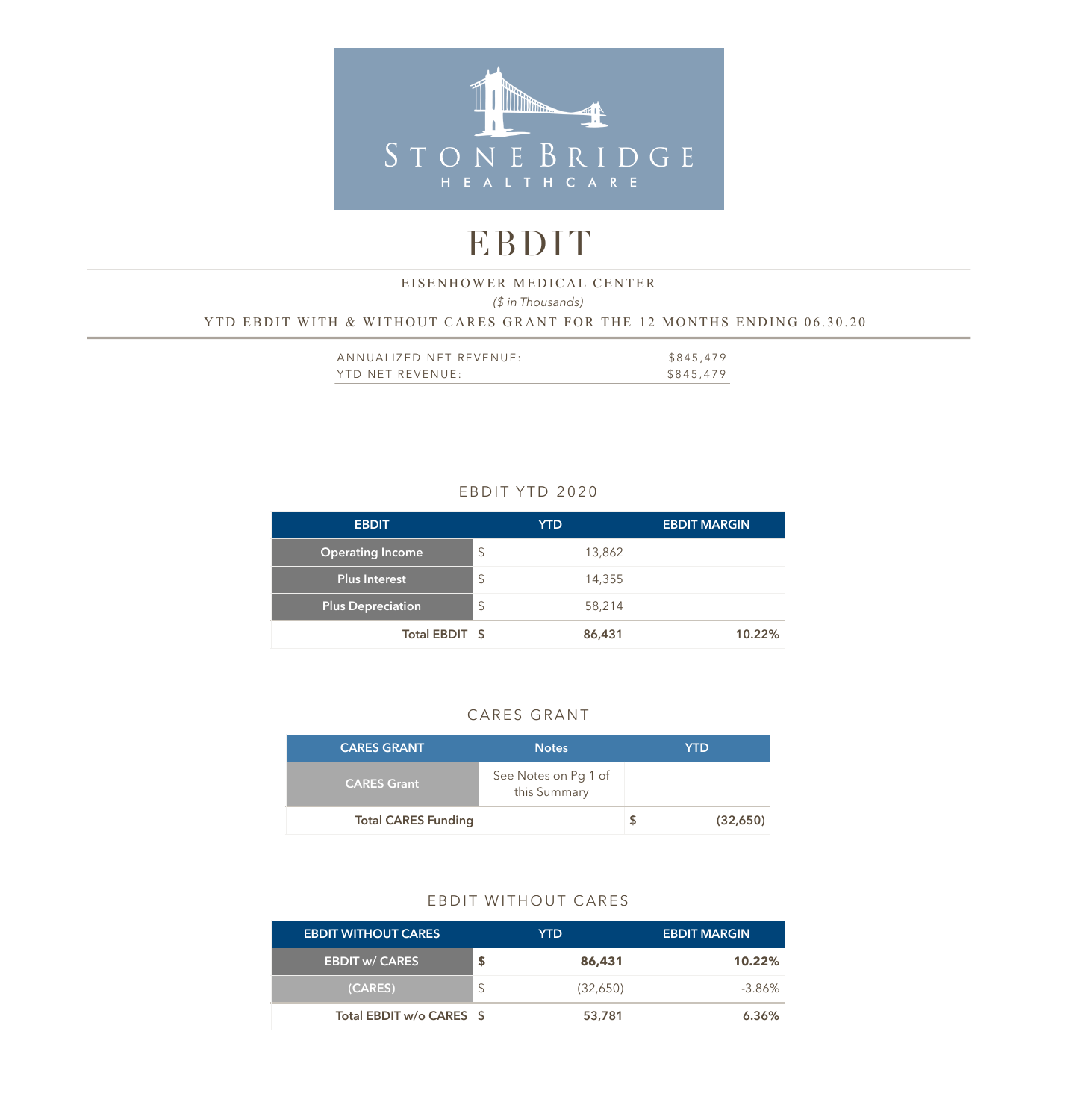

# EBDIT

### *(\$ in Thousands)*  YTD EBDIT WITH & WITHOUT CARES GRANT FOR THE 12 MONTHS ENDING 06.30.20 EISENHOWER MEDICAL CENTER

| ANNUALIZED NET REVENUE: | \$845,479 |
|-------------------------|-----------|
| YTD NET REVENUE:        | \$845,479 |

### EBDIT YTD 2020

| <b>EBDIT</b>             | <b>YTD</b>    | <b>EBDIT MARGIN</b> |
|--------------------------|---------------|---------------------|
| <b>Operating Income</b>  | $\mathcal{L}$ | 13,862              |
| Plus Interest            | $\frac{1}{2}$ | 14,355              |
| <b>Plus Depreciation</b> | $\frac{1}{2}$ | 58,214              |
| Total EBDIT \$           |               | 86,431<br>10.22%    |

### CARES GRANT

| <b>CARES GRANT</b>         | <b>Notes</b>                         | <b>YTD</b> |
|----------------------------|--------------------------------------|------------|
| <b>CARES Grant</b>         | See Notes on Pg 1 of<br>this Summary |            |
| <b>Total CARES Funding</b> |                                      | (32,650)   |

### EBDIT WITHOUT CARES

| <b>EBDIT WITHOUT CARES</b> |               | YTD.     | <b>EBDIT MARGIN</b> |
|----------------------------|---------------|----------|---------------------|
| <b>EBDIT w/ CARES</b>      |               | 86,431   | 10.22%              |
| (CARES)                    | $\mathcal{L}$ | (32,650) | $-3.86\%$           |
| Total EBDIT w/o CARES \$   |               | 53,781   | 6.36%               |